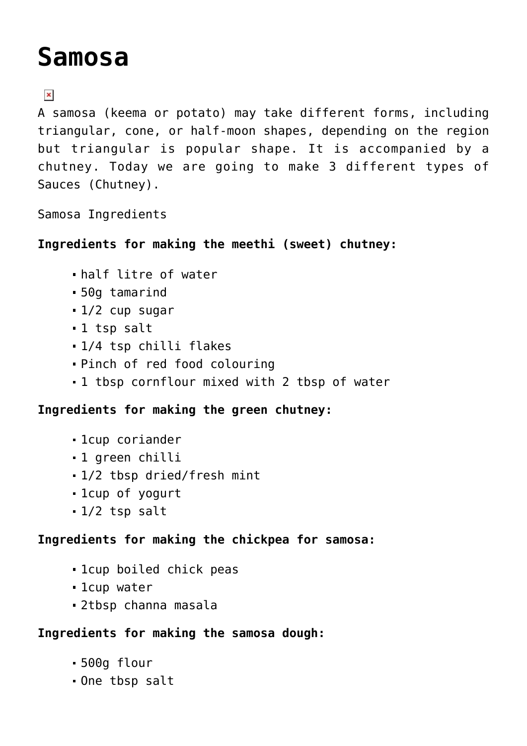# **[Samosa](https://familycookingmedia.co.uk/samosa/)**

## $\pmb{\times}$

A samosa (keema or potato) may take different forms, including triangular, cone, or half-moon shapes, depending on the region but triangular is popular shape. It is accompanied by a chutney. Today we are going to make 3 different types of Sauces (Chutney).

Samosa Ingredients

**Ingredients for making the meethi (sweet) chutney:**

- half litre of water
- 50g tamarind
- 1/2 cup sugar
- 1 tsp salt
- 1/4 tsp chilli flakes
- Pinch of red food colouring
- 1 tbsp cornflour mixed with 2 tbsp of water

**Ingredients for making the green chutney:**

- 1cup coriander
- 1 green chilli
- 1/2 tbsp dried/fresh mint
- 1cup of yogurt
- 1/2 tsp salt

#### **Ingredients for making the chickpea for samosa:**

- 1cup boiled chick peas
- 1cup water
- 2tbsp channa masala

#### **Ingredients for making the samosa dough:**

- 500g flour
- One tbsp salt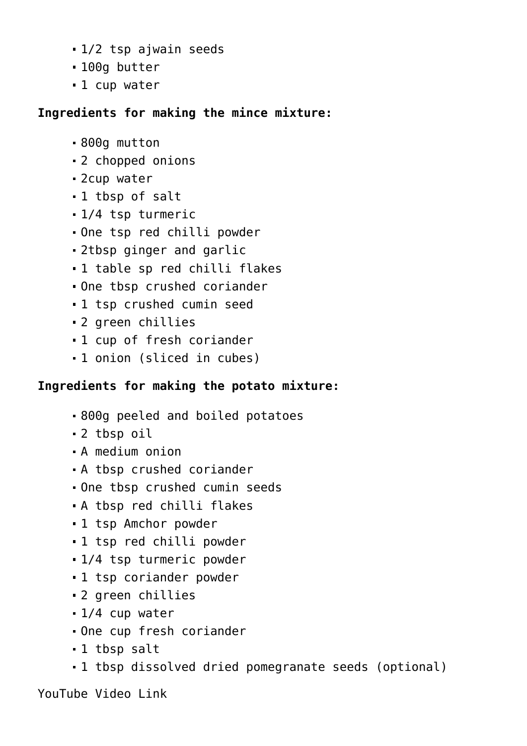- 1/2 tsp ajwain seeds
- 100g butter
- 1 cup water

#### **Ingredients for making the mince mixture:**

- 800g mutton
- 2 chopped onions
- 2cup water
- 1 tbsp of salt
- 1/4 tsp turmeric
- One tsp red chilli powder
- 2tbsp ginger and garlic
- 1 table sp red chilli flakes
- One tbsp crushed coriander
- 1 tsp crushed cumin seed
- 2 green chillies
- 1 cup of fresh coriander
- 1 onion (sliced in cubes)

### **Ingredients for making the potato mixture:**

- 800g peeled and boiled potatoes
- 2 tbsp oil
- A medium onion
- A tbsp crushed coriander
- One tbsp crushed cumin seeds
- A tbsp red chilli flakes
- 1 tsp Amchor powder
- 1 tsp red chilli powder
- 1/4 tsp turmeric powder
- 1 tsp coriander powder
- 2 green chillies
- 1/4 cup water
- One cup fresh coriander
- 1 tbsp salt
- 1 tbsp dissolved dried pomegranate seeds (optional)

YouTube Video Link